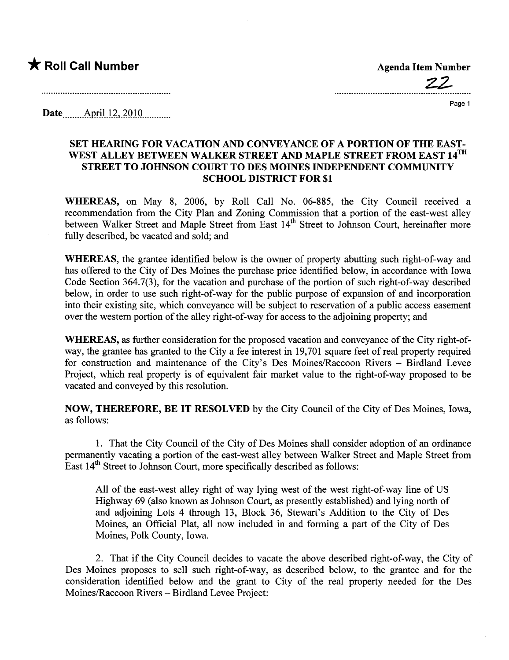## \* Roll Call Number Agenda Item Number

Z2

Page 1

Date..... ...ÂP-ri-l.Ji-,)QHL........

## SET HEARING FOR VACATION AND CONVEYANCE OF A PORTION OF THE EAST-WEST ALLEY BETWEEN WALKER STREET AND MAPLE STREET FROM EAST 14TH STREET TO JOHNSON COURT TO DES MOINES INDEPENDENT COMMUNITY SCHOOL DISTRICT FOR \$1

WHEREAS, on May 8, 2006, by Roll Call No. 06-885, the City Council received a recommendation from the City Plan and Zoning Commission that a portion of the east-west alley between Walker Street and Maple Street from East 14<sup>th</sup> Street to Johnson Court, hereinafter more fully described, be vacated and sold; and

WHEREAS, the grantee identified below is the owner of property abutting such right-of-way and has offered to the City of Des Moines the purchase price identified below, in accordance with Iowa Code Section 364.7(3), for the vacation and purchase of the portion of such right-of-way described below, in order to use such right-of-way for the public purpose of expansion of and incorporation into their existing site, which conveyance will be subject to reservation of a public access easement over the western portion of the alley right-of-way for access to the adjoining property; and

WHEREAS, as further consideration for the proposed vacation and conveyance of the City right-ofway, the grantee has granted to the City a fee interest in 19,701 square feet of real property required for construction and maintenance of the City's Des Moines/Raccoon Rivers - Birdland Levee Project, which real property is of equivalent fair market value to the right-of-way proposed to be vacated and conveyed by this resolution.

NOW, THEREFORE, BE IT RESOLVED by the City Council of the City of Des Moines, Iowa, as follows:

1. That the City Council of the City of Des Moines shall consider adoption of an ordinance permanently vacating a portion of the east-west alley between Walker Street and Maple Street from East 14<sup>th</sup> Street to Johnson Court, more specifically described as follows:

All of the east-west alley right of way lying west of the west right-of-way line of US Highway 69 (also known as Johnson Court, as presently established) and lying north of and adjoining Lots 4 through 13, Block 36, Stewar's Addition to the City of Des Moines, an Official Plat, all now included in and forming a part of the City of Des Moines, Polk County, Iowa.

2. That if the City Council decides to vacate the above described right-of-way, the City of Des Moines proposes to sell such right-of-way, as described below, to the grantee and for the consideration identified below and the grant to City of the real property needed for the Des Moines/Raccoon Rivers - Birdland Levee Project: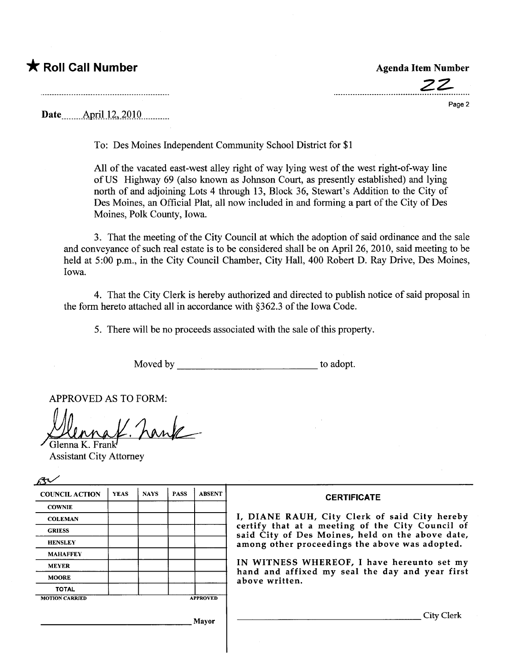## \* Roll Call Number Agenda Item Number

Date <u>\_\_\_\_\_</u> April 12, 2010

To: Des Moines Independent Community School District for \$1

All of the vacated east-west alley right of way lying west of the west right-of-way line of US Highway 69 (also known as Johnson Court, as presently established) and lying north of and adjoining Lots 4 through 13, Block 36, Stewar's Addition to the City of Des Moines, an Official Plat, all now included in and forming a part of the City of Des Moines, Polk County, Iowa.

3. That the meeting of the City Council at which the adoption of said ordinance and the sale and conveyance of such real estate is to be considered shall be on April 26, 2010, said meeting to be held at 5:00 p.m., in the City Council Chamber, City Hall, 400 Robert D. Ray Drive, Des Moines, Iowa.

4. That the City Clerk is hereby authorized and directed to publish notice of said proposal in the form hereto attached all in accordance with §362.3 of the Iowa Code.

5. There will be no proceeds associated with the sale of this property.

Moved by to adopt.

APPROVED AS TO FORM:

K. hank

Glenna K. Fra

| <b>Assistant City Attorney</b> |  |  |  |                 |                                                                                                                                                                                                         |
|--------------------------------|--|--|--|-----------------|---------------------------------------------------------------------------------------------------------------------------------------------------------------------------------------------------------|
|                                |  |  |  |                 |                                                                                                                                                                                                         |
| <b>COWNIE</b>                  |  |  |  |                 |                                                                                                                                                                                                         |
| <b>COLEMAN</b>                 |  |  |  |                 | I, DIANE RAUH, City Clerk of said City hereby<br>certify that at a meeting of the City Council of<br>said City of Des Moines, held on the above date,<br>among other proceedings the above was adopted. |
| <b>GRIESS</b>                  |  |  |  |                 |                                                                                                                                                                                                         |
| <b>HENSLEY</b>                 |  |  |  |                 |                                                                                                                                                                                                         |
| <b>MAHAFFEY</b>                |  |  |  |                 |                                                                                                                                                                                                         |
| <b>MEYER</b>                   |  |  |  |                 | IN WITNESS WHEREOF, I have hereunto set my<br>hand and affixed my seal the day and year first<br>above written.                                                                                         |
| <b>MOORE</b>                   |  |  |  |                 |                                                                                                                                                                                                         |
| <b>TOTAL</b>                   |  |  |  |                 |                                                                                                                                                                                                         |
| <b>MOTION CARRIED</b>          |  |  |  | <b>APPROVED</b> |                                                                                                                                                                                                         |
|                                |  |  |  | Mayor           | City Clerk                                                                                                                                                                                              |

22-

Page 2